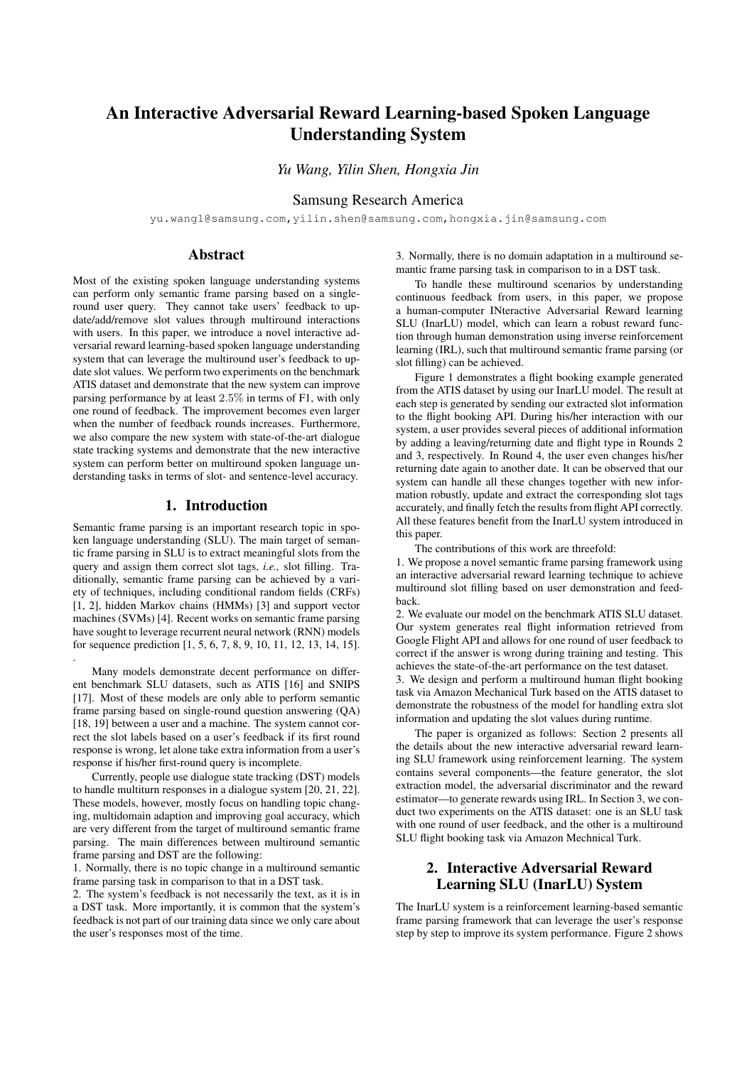# An Interactive Adversarial Reward Learning-based Spoken Language Understanding System

*Yu Wang, Yilin Shen, Hongxia Jin*

## Samsung Research America

yu.wang1@samsung.com,yilin.shen@samsung.com,hongxia.jin@samsung.com

## Abstract

Most of the existing spoken language understanding systems can perform only semantic frame parsing based on a singleround user query. They cannot take users' feedback to update/add/remove slot values through multiround interactions with users. In this paper, we introduce a novel interactive adversarial reward learning-based spoken language understanding system that can leverage the multiround user's feedback to update slot values. We perform two experiments on the benchmark ATIS dataset and demonstrate that the new system can improve parsing performance by at least 2.5% in terms of F1, with only one round of feedback. The improvement becomes even larger when the number of feedback rounds increases. Furthermore, we also compare the new system with state-of-the-art dialogue state tracking systems and demonstrate that the new interactive system can perform better on multiround spoken language understanding tasks in terms of slot- and sentence-level accuracy.

## 1. Introduction

Semantic frame parsing is an important research topic in spoken language understanding (SLU). The main target of semantic frame parsing in SLU is to extract meaningful slots from the query and assign them correct slot tags, *i.e.,* slot filling. Traditionally, semantic frame parsing can be achieved by a variety of techniques, including conditional random fields (CRFs) [1, 2], hidden Markov chains (HMMs) [3] and support vector machines (SVMs) [4]. Recent works on semantic frame parsing have sought to leverage recurrent neural network (RNN) models for sequence prediction [1, 5, 6, 7, 8, 9, 10, 11, 12, 13, 14, 15].

Many models demonstrate decent performance on different benchmark SLU datasets, such as ATIS [16] and SNIPS [17]. Most of these models are only able to perform semantic frame parsing based on single-round question answering (QA) [18, 19] between a user and a machine. The system cannot correct the slot labels based on a user's feedback if its first round response is wrong, let alone take extra information from a user's response if his/her first-round query is incomplete.

.

Currently, people use dialogue state tracking (DST) models to handle multiturn responses in a dialogue system [20, 21, 22]. These models, however, mostly focus on handling topic changing, multidomain adaption and improving goal accuracy, which are very different from the target of multiround semantic frame parsing. The main differences between multiround semantic frame parsing and DST are the following:

1. Normally, there is no topic change in a multiround semantic frame parsing task in comparison to that in a DST task.

2. The system's feedback is not necessarily the text, as it is in a DST task. More importantly, it is common that the system's feedback is not part of our training data since we only care about the user's responses most of the time.

3. Normally, there is no domain adaptation in a multiround semantic frame parsing task in comparison to in a DST task.

To handle these multiround scenarios by understanding continuous feedback from users, in this paper, we propose a human-computer INteractive Adversarial Reward learning SLU (InarLU) model, which can learn a robust reward function through human demonstration using inverse reinforcement learning (IRL), such that multiround semantic frame parsing (or slot filling) can be achieved.

Figure 1 demonstrates a flight booking example generated from the ATIS dataset by using our InarLU model. The result at each step is generated by sending our extracted slot information to the flight booking API. During his/her interaction with our system, a user provides several pieces of additional information by adding a leaving/returning date and flight type in Rounds 2 and 3, respectively. In Round 4, the user even changes his/her returning date again to another date. It can be observed that our system can handle all these changes together with new information robustly, update and extract the corresponding slot tags accurately, and finally fetch the results from flight API correctly. All these features benefit from the InarLU system introduced in this paper.

The contributions of this work are threefold:

1. We propose a novel semantic frame parsing framework using an interactive adversarial reward learning technique to achieve multiround slot filling based on user demonstration and feedback.

2. We evaluate our model on the benchmark ATIS SLU dataset. Our system generates real flight information retrieved from Google Flight API and allows for one round of user feedback to correct if the answer is wrong during training and testing. This achieves the state-of-the-art performance on the test dataset.

3. We design and perform a multiround human flight booking task via Amazon Mechanical Turk based on the ATIS dataset to demonstrate the robustness of the model for handling extra slot information and updating the slot values during runtime.

The paper is organized as follows: Section 2 presents all the details about the new interactive adversarial reward learning SLU framework using reinforcement learning. The system contains several components—the feature generator, the slot extraction model, the adversarial discriminator and the reward estimator—to generate rewards using IRL. In Section 3, we conduct two experiments on the ATIS dataset: one is an SLU task with one round of user feedback, and the other is a multiround SLU flight booking task via Amazon Mechnical Turk.

# 2. Interactive Adversarial Reward Learning SLU (InarLU) System

The InarLU system is a reinforcement learning-based semantic frame parsing framework that can leverage the user's response step by step to improve its system performance. Figure 2 shows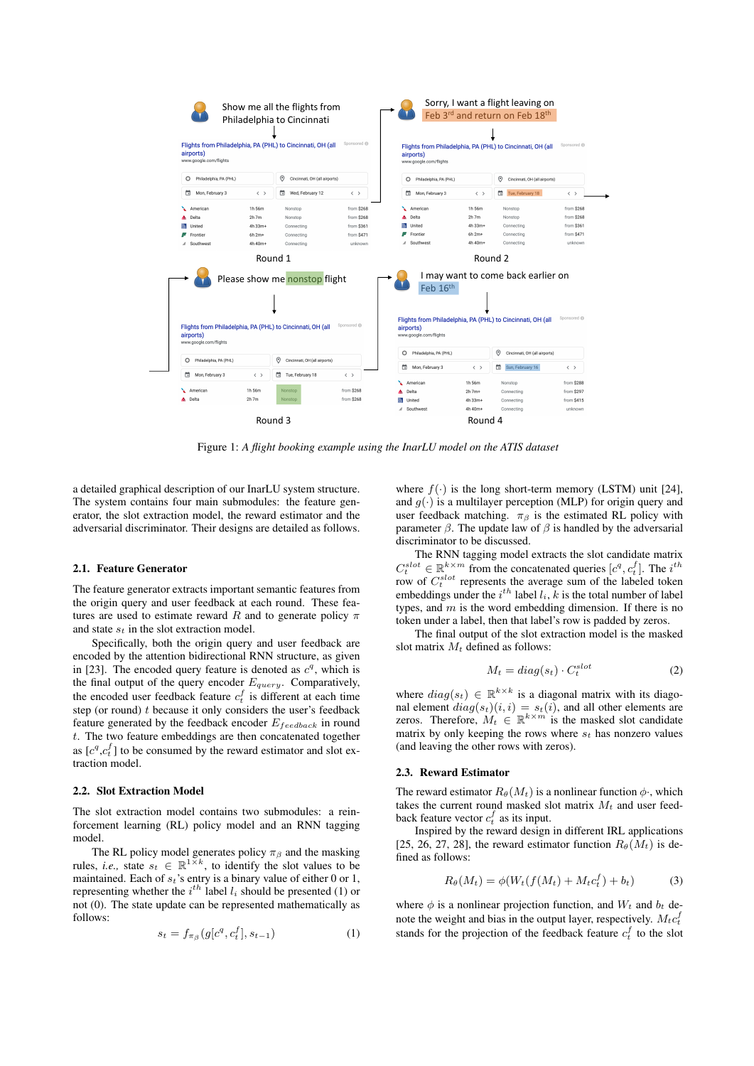

Figure 1: *A flight booking example using the InarLU model on the ATIS dataset*

a detailed graphical description of our InarLU system structure. The system contains four main submodules: the feature generator, the slot extraction model, the reward estimator and the adversarial discriminator. Their designs are detailed as follows.

#### 2.1. Feature Generator

The feature generator extracts important semantic features from the origin query and user feedback at each round. These features are used to estimate reward R and to generate policy  $\pi$ and state  $s_t$  in the slot extraction model.

Specifically, both the origin query and user feedback are encoded by the attention bidirectional RNN structure, as given in [23]. The encoded query feature is denoted as  $c<sup>q</sup>$ , which is the final output of the query encoder  $E_{query}$ . Comparatively, the encoded user feedback feature  $c_t^f$  is different at each time step (or round)  $t$  because it only considers the user's feedback feature generated by the feedback encoder  $E_{feedback}$  in round t. The two feature embeddings are then concatenated together as  $[c^q, c_t^f]$  to be consumed by the reward estimator and slot extraction model.

#### 2.2. Slot Extraction Model

The slot extraction model contains two submodules: a reinforcement learning (RL) policy model and an RNN tagging model.

The RL policy model generates policy  $\pi_\beta$  and the masking rules, *i.e.*, state  $s_t \in \mathbb{R}^{1 \times k}$ , to identify the slot values to be maintained. Each of  $s_t$ 's entry is a binary value of either 0 or 1, representing whether the  $i^{th}$  label  $l_i$  should be presented (1) or not (0). The state update can be represented mathematically as follows:

$$
s_t = f_{\pi_\beta}(g[c^q, c_t^f], s_{t-1})
$$
\n(1)

where  $f(\cdot)$  is the long short-term memory (LSTM) unit [24], and  $g(\cdot)$  is a multilayer perception (MLP) for origin query and user feedback matching.  $\pi_{\beta}$  is the estimated RL policy with parameter  $\beta$ . The update law of  $\beta$  is handled by the adversarial discriminator to be discussed.

The RNN tagging model extracts the slot candidate matrix  $C_t^{slot} \in \mathbb{R}^{k \times m}$  from the concatenated queries  $[c^q, c_t^f]$ . The  $i^{th}$ row of  $C_t^{slot}$  represents the average sum of the labeled token embeddings under the  $i^{th}$  label  $l_i$ ,  $k$  is the total number of label types, and  $m$  is the word embedding dimension. If there is no token under a label, then that label's row is padded by zeros.

The final output of the slot extraction model is the masked slot matrix  $M_t$  defined as follows:

$$
M_t = diag(s_t) \cdot C_t^{slot} \tag{2}
$$

where  $diag(s_t) \in \mathbb{R}^{k \times k}$  is a diagonal matrix with its diagonal element  $diag(s_t)(i, i) = s_t(i)$ , and all other elements are zeros. Therefore,  $M_t \in \mathbb{R}^{k \times m}$  is the masked slot candidate matrix by only keeping the rows where  $s_t$  has nonzero values (and leaving the other rows with zeros).

#### 2.3. Reward Estimator

The reward estimator  $R_{\theta}(M_t)$  is a nonlinear function  $\phi$ , which takes the current round masked slot matrix  $M_t$  and user feedback feature vector  $c_t^f$  as its input.

Inspired by the reward design in different IRL applications [25, 26, 27, 28], the reward estimator function  $R_{\theta}(M_t)$  is defined as follows:

$$
R_{\theta}(M_t) = \phi(W_t(f(M_t) + M_t c_t^f) + b_t)
$$
\n(3)

where  $\phi$  is a nonlinear projection function, and  $W_t$  and  $b_t$  denote the weight and bias in the output layer, respectively.  $M_t c_t^f$ stands for the projection of the feedback feature  $c_t^f$  to the slot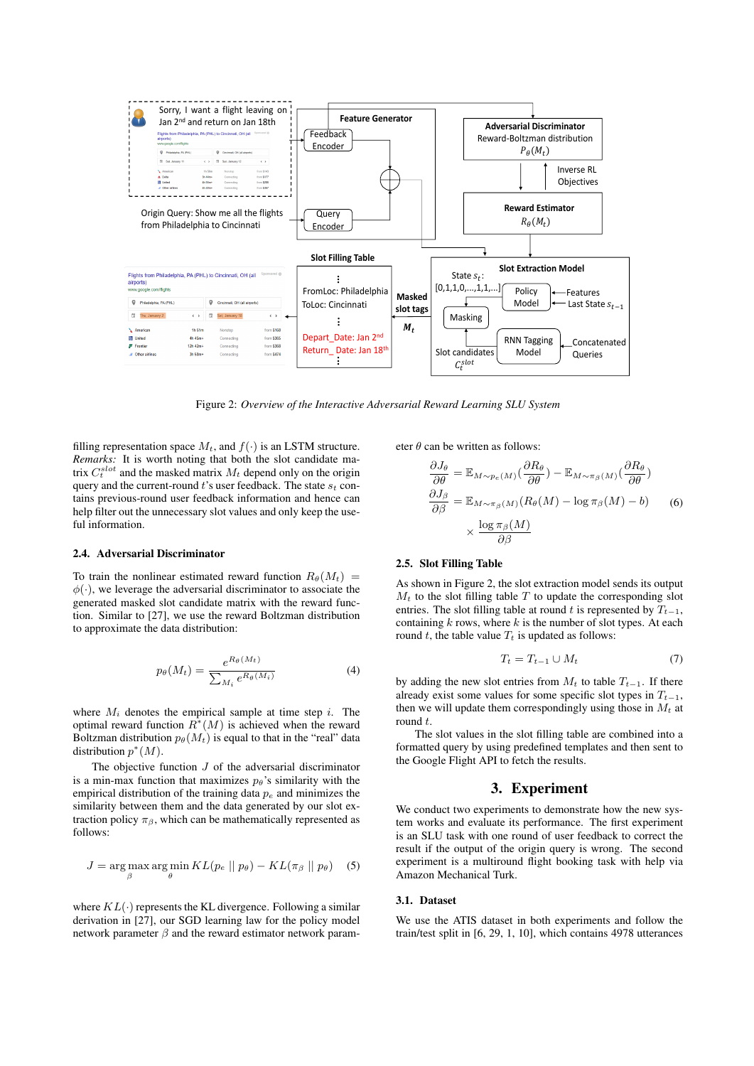

Figure 2: *Overview of the Interactive Adversarial Reward Learning SLU System*

filling representation space  $M_t$ , and  $f(\cdot)$  is an LSTM structure. *Remarks:* It is worth noting that both the slot candidate matrix  $C_t^{slot}$  and the masked matrix  $M_t$  depend only on the origin query and the current-round  $t$ 's user feedback. The state  $s_t$  contains previous-round user feedback information and hence can help filter out the unnecessary slot values and only keep the useful information.

#### 2.4. Adversarial Discriminator

To train the nonlinear estimated reward function  $R_{\theta}(M_t)$  =  $\phi(\cdot)$ , we leverage the adversarial discriminator to associate the generated masked slot candidate matrix with the reward function. Similar to [27], we use the reward Boltzman distribution to approximate the data distribution:

$$
p_{\theta}(M_t) = \frac{e^{R_{\theta}(M_t)}}{\sum_{M_i} e^{R_{\theta}(M_i)}}
$$
(4)

where  $M_i$  denotes the empirical sample at time step i. The optimal reward function  $\overline{R}^*(M)$  is achieved when the reward Boltzman distribution  $p_{\theta}(M_t)$  is equal to that in the "real" data distribution  $p^*(M)$ .

The objective function  $J$  of the adversarial discriminator is a min-max function that maximizes  $p_{\theta}$ 's similarity with the empirical distribution of the training data  $p_e$  and minimizes the similarity between them and the data generated by our slot extraction policy  $\pi_{\beta}$ , which can be mathematically represented as follows:

$$
J = \underset{\beta}{\arg\max} \underset{\theta}{\arg\min} \, KL(p_e \mid \mid p_\theta) - KL(\pi_\beta \mid \mid p_\theta) \quad (5)
$$

where  $KL(\cdot)$  represents the KL divergence. Following a similar derivation in [27], our SGD learning law for the policy model network parameter  $\beta$  and the reward estimator network parameter  $\theta$  can be written as follows:

$$
\frac{\partial J_{\theta}}{\partial \theta} = \mathbb{E}_{M \sim p_e(M)} \left( \frac{\partial R_{\theta}}{\partial \theta} \right) - \mathbb{E}_{M \sim \pi_{\beta}(M)} \left( \frac{\partial R_{\theta}}{\partial \theta} \right)
$$

$$
\frac{\partial J_{\beta}}{\partial \beta} = \mathbb{E}_{M \sim \pi_{\beta}(M)} (R_{\theta}(M) - \log \pi_{\beta}(M) - b) \qquad (6)
$$

$$
\times \frac{\log \pi_{\beta}(M)}{\partial \beta}
$$

## 2.5. Slot Filling Table

As shown in Figure 2, the slot extraction model sends its output  $M_t$  to the slot filling table T to update the corresponding slot entries. The slot filling table at round t is represented by  $T_{t-1}$ , containing  $k$  rows, where  $k$  is the number of slot types. At each round t, the table value  $T_t$  is updated as follows:

$$
T_t = T_{t-1} \cup M_t \tag{7}
$$

by adding the new slot entries from  $M_t$  to table  $T_{t-1}$ . If there already exist some values for some specific slot types in  $T_{t-1}$ , then we will update them correspondingly using those in  $M_t$  at round t.

The slot values in the slot filling table are combined into a formatted query by using predefined templates and then sent to the Google Flight API to fetch the results.

## 3. Experiment

We conduct two experiments to demonstrate how the new system works and evaluate its performance. The first experiment is an SLU task with one round of user feedback to correct the result if the output of the origin query is wrong. The second experiment is a multiround flight booking task with help via Amazon Mechanical Turk.

#### 3.1. Dataset

We use the ATIS dataset in both experiments and follow the train/test split in [6, 29, 1, 10], which contains 4978 utterances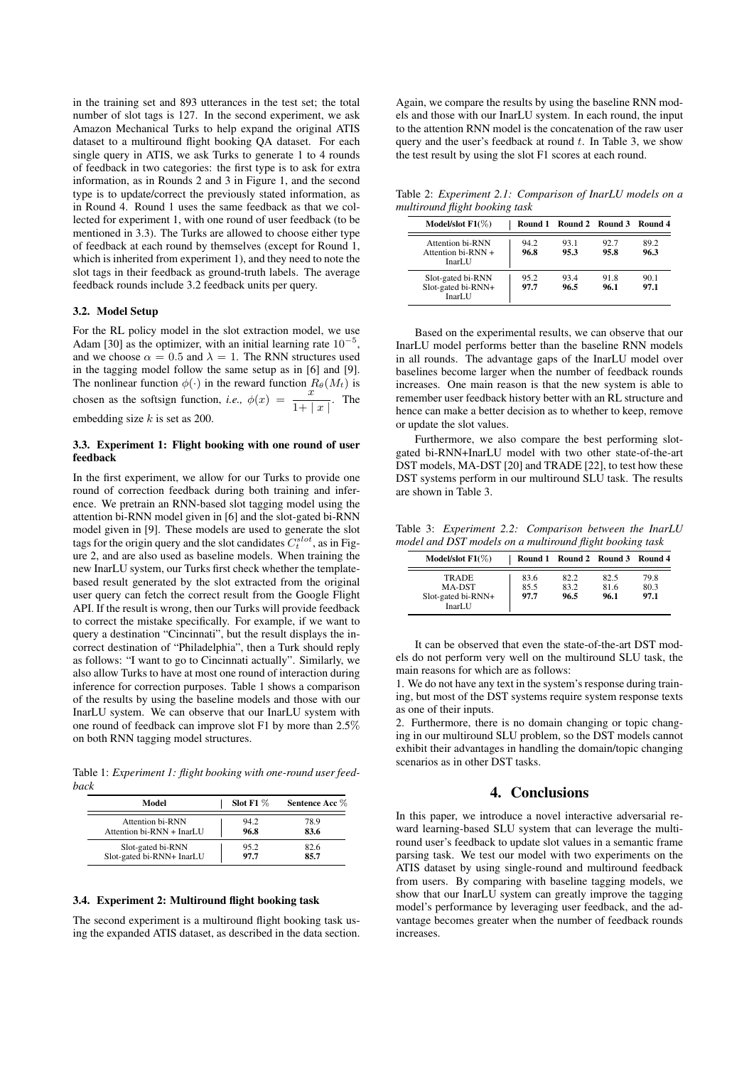in the training set and 893 utterances in the test set; the total number of slot tags is 127. In the second experiment, we ask Amazon Mechanical Turks to help expand the original ATIS dataset to a multiround flight booking QA dataset. For each single query in ATIS, we ask Turks to generate 1 to 4 rounds of feedback in two categories: the first type is to ask for extra information, as in Rounds 2 and 3 in Figure 1, and the second type is to update/correct the previously stated information, as in Round 4. Round 1 uses the same feedback as that we collected for experiment 1, with one round of user feedback (to be mentioned in 3.3). The Turks are allowed to choose either type of feedback at each round by themselves (except for Round 1, which is inherited from experiment 1), and they need to note the slot tags in their feedback as ground-truth labels. The average feedback rounds include 3.2 feedback units per query.

#### 3.2. Model Setup

For the RL policy model in the slot extraction model, we use Adam [30] as the optimizer, with an initial learning rate  $10^{-5}$ , and we choose  $\alpha = 0.5$  and  $\lambda = 1$ . The RNN structures used in the tagging model follow the same setup as in [6] and [9]. The nonlinear function  $\phi(\cdot)$  in the reward function  $R_{\theta}(M_t)$  is chosen as the softsign function, *i.e.*,  $\phi(x) = \frac{x^{3/2}}{1+|x|}$ . The embedding size  $k$  is set as 200.

### 3.3. Experiment 1: Flight booking with one round of user feedback

In the first experiment, we allow for our Turks to provide one round of correction feedback during both training and inference. We pretrain an RNN-based slot tagging model using the attention bi-RNN model given in [6] and the slot-gated bi-RNN model given in [9]. These models are used to generate the slot tags for the origin query and the slot candidates  $C_t^{slot}$ , as in Figure 2, and are also used as baseline models. When training the new InarLU system, our Turks first check whether the templatebased result generated by the slot extracted from the original user query can fetch the correct result from the Google Flight API. If the result is wrong, then our Turks will provide feedback to correct the mistake specifically. For example, if we want to query a destination "Cincinnati", but the result displays the incorrect destination of "Philadelphia", then a Turk should reply as follows: "I want to go to Cincinnati actually". Similarly, we also allow Turks to have at most one round of interaction during inference for correction purposes. Table 1 shows a comparison of the results by using the baseline models and those with our InarLU system. We can observe that our InarLU system with one round of feedback can improve slot F1 by more than 2.5% on both RNN tagging model structures.

Table 1: *Experiment 1: flight booking with one-round user feedback*

| Model                     | Slot F1 $\%$ | Sentence Acc % |
|---------------------------|--------------|----------------|
| <b>Attention bi-RNN</b>   | 94.2         | 78.9           |
| Attention bi-RNN + InarLU | 96.8         | 83.6           |
| Slot-gated bi-RNN         | 95.2         | 82.6           |
| Slot-gated bi-RNN+ InarLU | 97.7         | 85.7           |

#### 3.4. Experiment 2: Multiround flight booking task

The second experiment is a multiround flight booking task using the expanded ATIS dataset, as described in the data section. Again, we compare the results by using the baseline RNN models and those with our InarLU system. In each round, the input to the attention RNN model is the concatenation of the raw user query and the user's feedback at round  $t$ . In Table 3, we show the test result by using the slot F1 scores at each round.

Table 2: *Experiment 2.1: Comparison of InarLU models on a multiround flight booking task*

| Model/slot $F1(\%)$                                           |              | Round 1 Round 2 Round 3 Round 4 |              |              |
|---------------------------------------------------------------|--------------|---------------------------------|--------------|--------------|
| Attention bi-RNN<br>Attention $\frac{1}{2}$ RNN +<br>InarI JJ | 94.2<br>96.8 | 93.1<br>95.3                    | 92.7<br>95.8 | 89.2<br>96.3 |
| Slot-gated bi-RNN<br>Slot-gated bi-RNN+<br>InarLU             | 95.2<br>97.7 | 93.4<br>96.5                    | 91.8<br>96.1 | 90.1<br>97.1 |

Based on the experimental results, we can observe that our InarLU model performs better than the baseline RNN models in all rounds. The advantage gaps of the InarLU model over baselines become larger when the number of feedback rounds increases. One main reason is that the new system is able to remember user feedback history better with an RL structure and hence can make a better decision as to whether to keep, remove or update the slot values.

Furthermore, we also compare the best performing slotgated bi-RNN+InarLU model with two other state-of-the-art DST models, MA-DST [20] and TRADE [22], to test how these DST systems perform in our multiround SLU task. The results are shown in Table 3.

Table 3: *Experiment 2.2: Comparison between the InarLU model and DST models on a multiround flight booking task*

| Model/slot $F1(\%)$                                    |                      | Round 1 Round 2 Round 3 Round 4 |                      |                      |
|--------------------------------------------------------|----------------------|---------------------------------|----------------------|----------------------|
| <b>TRADE</b><br>MA-DST<br>Slot-gated bi-RNN+<br>InarLU | 83.6<br>85.5<br>97.7 | 82.2<br>83.2<br>96.5            | 82.5<br>81.6<br>96.1 | 79.8<br>80.3<br>97.1 |

It can be observed that even the state-of-the-art DST models do not perform very well on the multiround SLU task, the main reasons for which are as follows:

1. We do not have any text in the system's response during training, but most of the DST systems require system response texts as one of their inputs.

2. Furthermore, there is no domain changing or topic changing in our multiround SLU problem, so the DST models cannot exhibit their advantages in handling the domain/topic changing scenarios as in other DST tasks.

## 4. Conclusions

In this paper, we introduce a novel interactive adversarial reward learning-based SLU system that can leverage the multiround user's feedback to update slot values in a semantic frame parsing task. We test our model with two experiments on the ATIS dataset by using single-round and multiround feedback from users. By comparing with baseline tagging models, we show that our InarLU system can greatly improve the tagging model's performance by leveraging user feedback, and the advantage becomes greater when the number of feedback rounds increases.